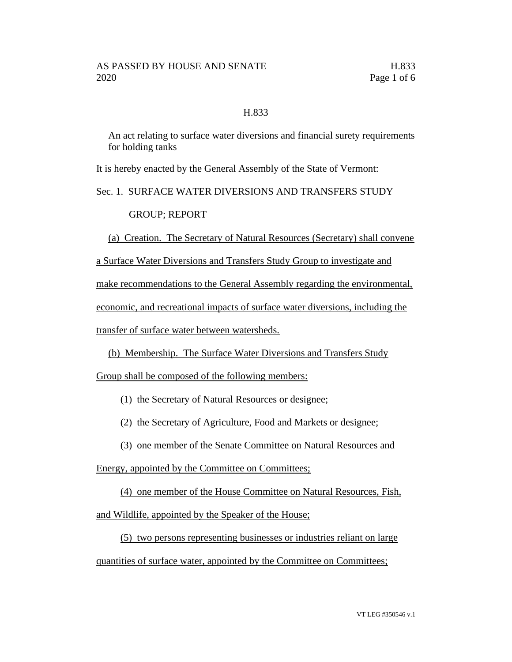## H.833

An act relating to surface water diversions and financial surety requirements for holding tanks

It is hereby enacted by the General Assembly of the State of Vermont:

Sec. 1. SURFACE WATER DIVERSIONS AND TRANSFERS STUDY

GROUP; REPORT

(a) Creation. The Secretary of Natural Resources (Secretary) shall convene

a Surface Water Diversions and Transfers Study Group to investigate and

make recommendations to the General Assembly regarding the environmental,

economic, and recreational impacts of surface water diversions, including the

transfer of surface water between watersheds.

(b) Membership. The Surface Water Diversions and Transfers Study

Group shall be composed of the following members:

(1) the Secretary of Natural Resources or designee;

(2) the Secretary of Agriculture, Food and Markets or designee;

(3) one member of the Senate Committee on Natural Resources and

Energy, appointed by the Committee on Committees;

(4) one member of the House Committee on Natural Resources, Fish,

and Wildlife, appointed by the Speaker of the House;

(5) two persons representing businesses or industries reliant on large quantities of surface water, appointed by the Committee on Committees;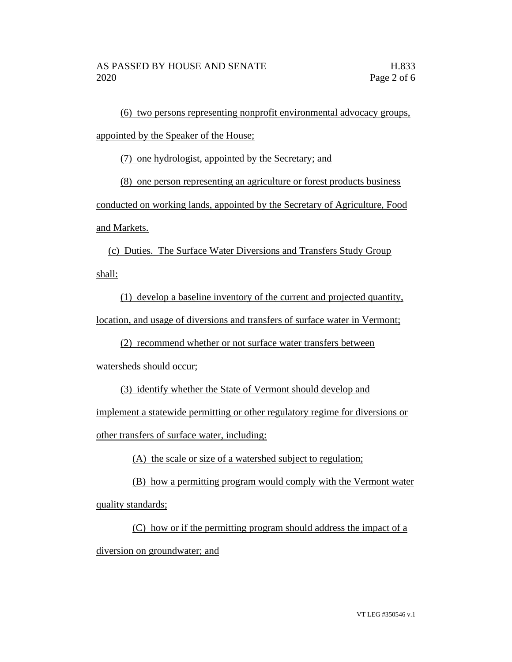(6) two persons representing nonprofit environmental advocacy groups, appointed by the Speaker of the House;

(7) one hydrologist, appointed by the Secretary; and

(8) one person representing an agriculture or forest products business

conducted on working lands, appointed by the Secretary of Agriculture, Food and Markets.

(c) Duties. The Surface Water Diversions and Transfers Study Group shall:

(1) develop a baseline inventory of the current and projected quantity, location, and usage of diversions and transfers of surface water in Vermont;

(2) recommend whether or not surface water transfers between

watersheds should occur;

(3) identify whether the State of Vermont should develop and

implement a statewide permitting or other regulatory regime for diversions or other transfers of surface water, including:

(A) the scale or size of a watershed subject to regulation;

(B) how a permitting program would comply with the Vermont water quality standards;

(C) how or if the permitting program should address the impact of a diversion on groundwater; and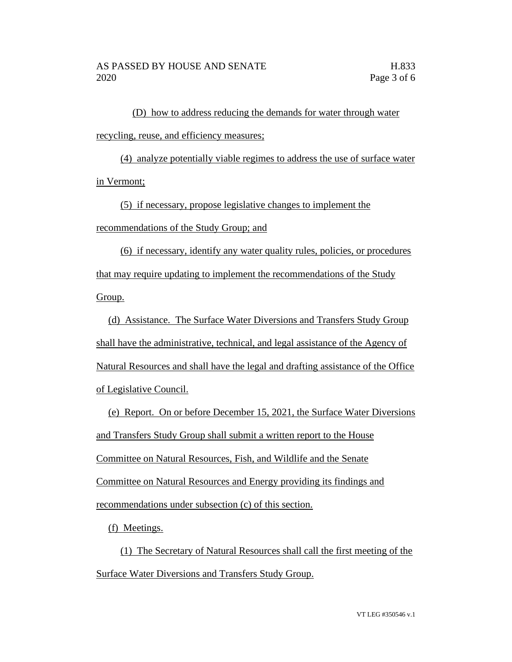(D) how to address reducing the demands for water through water recycling, reuse, and efficiency measures;

(4) analyze potentially viable regimes to address the use of surface water in Vermont;

(5) if necessary, propose legislative changes to implement the recommendations of the Study Group; and

(6) if necessary, identify any water quality rules, policies, or procedures that may require updating to implement the recommendations of the Study Group.

(d) Assistance. The Surface Water Diversions and Transfers Study Group shall have the administrative, technical, and legal assistance of the Agency of Natural Resources and shall have the legal and drafting assistance of the Office of Legislative Council.

(e) Report. On or before December 15, 2021, the Surface Water Diversions and Transfers Study Group shall submit a written report to the House Committee on Natural Resources, Fish, and Wildlife and the Senate Committee on Natural Resources and Energy providing its findings and recommendations under subsection (c) of this section.

(f) Meetings.

(1) The Secretary of Natural Resources shall call the first meeting of the Surface Water Diversions and Transfers Study Group.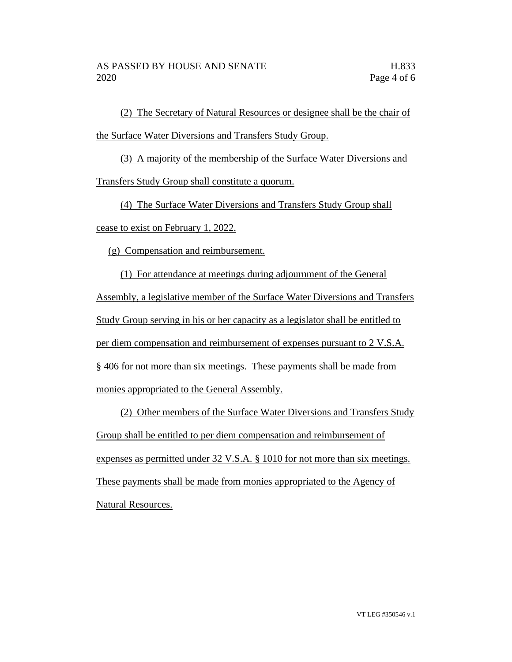(2) The Secretary of Natural Resources or designee shall be the chair of the Surface Water Diversions and Transfers Study Group.

(3) A majority of the membership of the Surface Water Diversions and Transfers Study Group shall constitute a quorum.

(4) The Surface Water Diversions and Transfers Study Group shall cease to exist on February 1, 2022.

(g) Compensation and reimbursement.

(1) For attendance at meetings during adjournment of the General Assembly, a legislative member of the Surface Water Diversions and Transfers Study Group serving in his or her capacity as a legislator shall be entitled to per diem compensation and reimbursement of expenses pursuant to 2 V.S.A. § 406 for not more than six meetings. These payments shall be made from monies appropriated to the General Assembly.

(2) Other members of the Surface Water Diversions and Transfers Study Group shall be entitled to per diem compensation and reimbursement of expenses as permitted under 32 V.S.A. § 1010 for not more than six meetings. These payments shall be made from monies appropriated to the Agency of Natural Resources.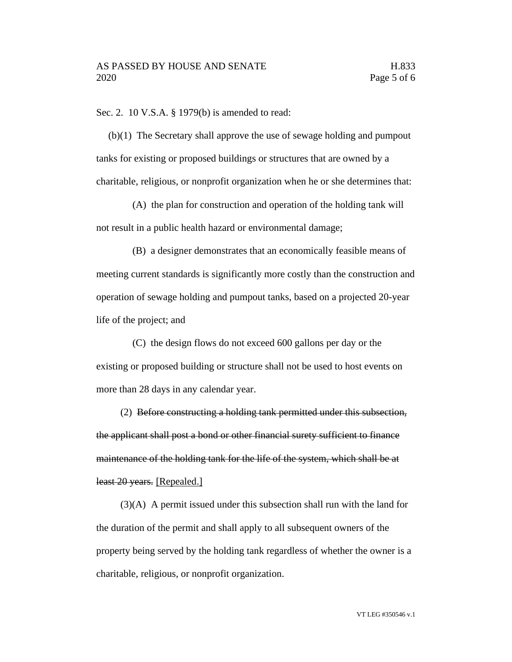Sec. 2. 10 V.S.A. § 1979(b) is amended to read:

(b)(1) The Secretary shall approve the use of sewage holding and pumpout tanks for existing or proposed buildings or structures that are owned by a charitable, religious, or nonprofit organization when he or she determines that:

(A) the plan for construction and operation of the holding tank will not result in a public health hazard or environmental damage;

(B) a designer demonstrates that an economically feasible means of meeting current standards is significantly more costly than the construction and operation of sewage holding and pumpout tanks, based on a projected 20-year life of the project; and

(C) the design flows do not exceed 600 gallons per day or the existing or proposed building or structure shall not be used to host events on more than 28 days in any calendar year.

(2) Before constructing a holding tank permitted under this subsection, the applicant shall post a bond or other financial surety sufficient to finance maintenance of the holding tank for the life of the system, which shall be at least 20 years. [Repealed.]

(3)(A) A permit issued under this subsection shall run with the land for the duration of the permit and shall apply to all subsequent owners of the property being served by the holding tank regardless of whether the owner is a charitable, religious, or nonprofit organization.